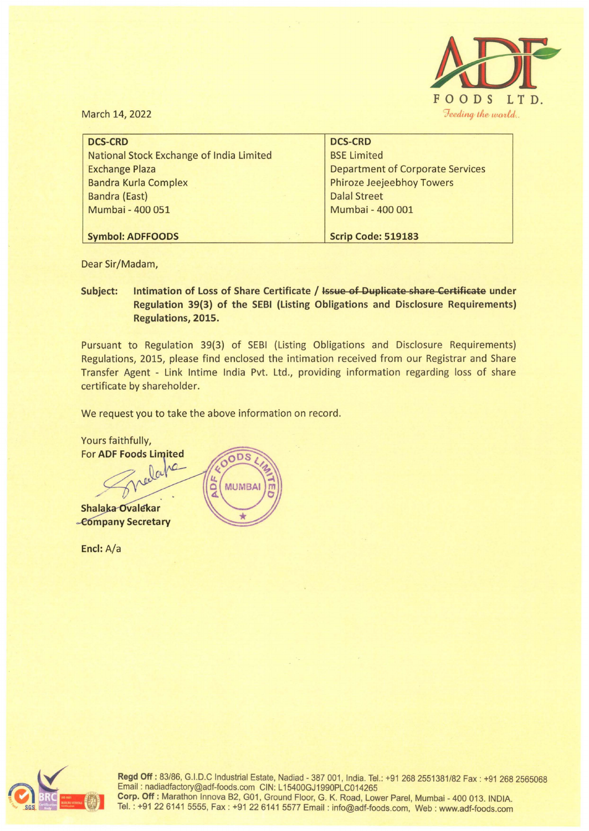

March 14, 2022

| <b>DCS-CRD</b>                           | <b>DCS-CRD</b>                          |
|------------------------------------------|-----------------------------------------|
| National Stock Exchange of India Limited | <b>BSE Limited</b>                      |
| <b>Exchange Plaza</b>                    | <b>Department of Corporate Services</b> |
| <b>Bandra Kurla Complex</b>              | <b>Phiroze Jeejeebhoy Towers</b>        |
| <b>Bandra (East)</b>                     | <b>Dalal Street</b>                     |
| Mumbai - 400 051                         | Mumbai - 400 001                        |
|                                          |                                         |
| <b>Symbol: ADFFOODS</b>                  | <b>Scrip Code: 519183</b>               |

Dear Sir/Madam,

## **Subject: Intimation of Loss of Share Certificate / Issue of Duplieate share Certifieate under Regulation 39(3) of the SEBI (Listing Obligations and Disclosure Requirements) Regulations, 2015.**

Pursuant to Regulation 39(3) of SEBI (Listing Obligations and Disclosure Requirements) Regulations, 2015, please find enclosed the intimation received from our Registrar and Share Transfer Agent - Link Intime India Pvt. Ltd., providing information regarding loss of share certificate by shareholder.

We request you to take the above information on record.

Yours faithfully,<br>For ADF Foods Limited  $\cap$  D<sub>S</sub> ADE **MUMBA Shalaka Ovalekar** -Company Secretary

**Encl:** A/a